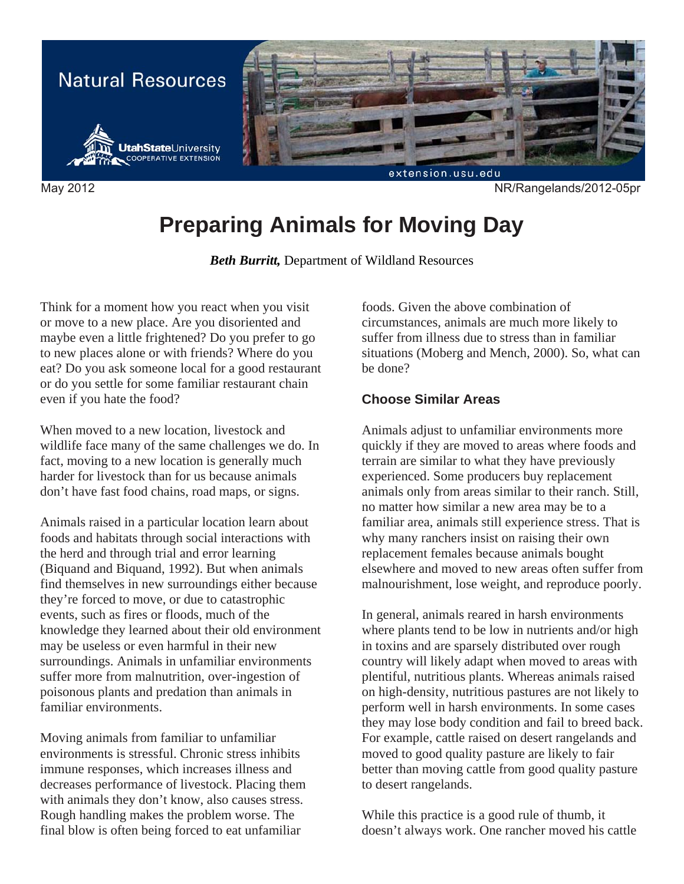

# **Preparing Animals for Moving Day**

*Beth Burritt,* Department of Wildland Resources

Think for a moment how you react when you visit or move to a new place. Are you disoriented and maybe even a little frightened? Do you prefer to go to new places alone or with friends? Where do you eat? Do you ask someone local for a good restaurant or do you settle for some familiar restaurant chain even if you hate the food?

When moved to a new location, livestock and wildlife face many of the same challenges we do. In fact, moving to a new location is generally much harder for livestock than for us because animals don't have fast food chains, road maps, or signs.

Animals raised in a particular location learn about foods and habitats through social interactions with the herd and through trial and error learning (Biquand and Biquand, 1992). But when animals find themselves in new surroundings either because they're forced to move, or due to catastrophic events, such as fires or floods, much of the knowledge they learned about their old environment may be useless or even harmful in their new surroundings. Animals in unfamiliar environments suffer more from malnutrition, over-ingestion of poisonous plants and predation than animals in familiar environments.

Moving animals from familiar to unfamiliar environments is stressful. Chronic stress inhibits immune responses, which increases illness and decreases performance of livestock. Placing them with animals they don't know, also causes stress. Rough handling makes the problem worse. The final blow is often being forced to eat unfamiliar

foods. Given the above combination of circumstances, animals are much more likely to suffer from illness due to stress than in familiar situations (Moberg and Mench, 2000). So, what can be done?

#### **Choose Similar Areas**

Animals adjust to unfamiliar environments more quickly if they are moved to areas where foods and terrain are similar to what they have previously experienced. Some producers buy replacement animals only from areas similar to their ranch. Still, no matter how similar a new area may be to a familiar area, animals still experience stress. That is why many ranchers insist on raising their own replacement females because animals bought elsewhere and moved to new areas often suffer from malnourishment, lose weight, and reproduce poorly.

In general, animals reared in harsh environments where plants tend to be low in nutrients and/or high in toxins and are sparsely distributed over rough country will likely adapt when moved to areas with plentiful, nutritious plants. Whereas animals raised on high-density, nutritious pastures are not likely to perform well in harsh environments. In some cases they may lose body condition and fail to breed back. For example, cattle raised on desert rangelands and moved to good quality pasture are likely to fair better than moving cattle from good quality pasture to desert rangelands.

While this practice is a good rule of thumb, it doesn't always work. One rancher moved his cattle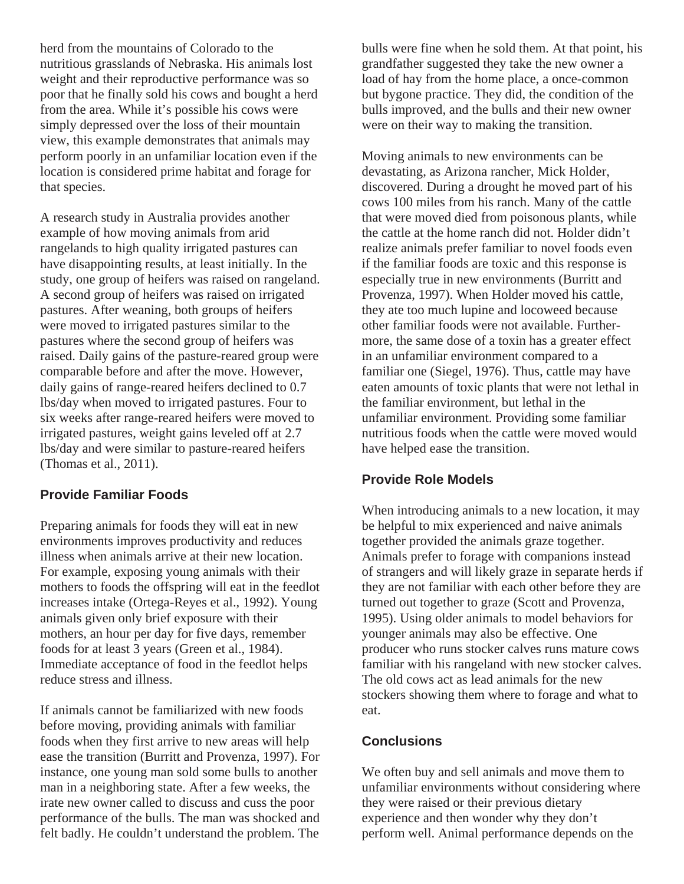herd from the mountains of Colorado to the nutritious grasslands of Nebraska. His animals lost weight and their reproductive performance was so poor that he finally sold his cows and bought a herd from the area. While it's possible his cows were simply depressed over the loss of their mountain view, this example demonstrates that animals may perform poorly in an unfamiliar location even if the location is considered prime habitat and forage for that species.

A research study in Australia provides another example of how moving animals from arid rangelands to high quality irrigated pastures can have disappointing results, at least initially. In the study, one group of heifers was raised on rangeland. A second group of heifers was raised on irrigated pastures. After weaning, both groups of heifers were moved to irrigated pastures similar to the pastures where the second group of heifers was raised. Daily gains of the pasture-reared group were comparable before and after the move. However, daily gains of range-reared heifers declined to 0.7 lbs/day when moved to irrigated pastures. Four to six weeks after range-reared heifers were moved to irrigated pastures, weight gains leveled off at 2.7 lbs/day and were similar to pasture-reared heifers (Thomas et al., 2011).

## **Provide Familiar Foods**

Preparing animals for foods they will eat in new environments improves productivity and reduces illness when animals arrive at their new location. For example, exposing young animals with their mothers to foods the offspring will eat in the feedlot increases intake (Ortega-Reyes et al., 1992). Young animals given only brief exposure with their mothers, an hour per day for five days, remember foods for at least 3 years (Green et al., 1984). Immediate acceptance of food in the feedlot helps reduce stress and illness.

If animals cannot be familiarized with new foods before moving, providing animals with familiar foods when they first arrive to new areas will help ease the transition (Burritt and Provenza, 1997). For instance, one young man sold some bulls to another man in a neighboring state. After a few weeks, the irate new owner called to discuss and cuss the poor performance of the bulls. The man was shocked and felt badly. He couldn't understand the problem. The

bulls were fine when he sold them. At that point, his grandfather suggested they take the new owner a load of hay from the home place, a once-common but bygone practice. They did, the condition of the bulls improved, and the bulls and their new owner were on their way to making the transition.

Moving animals to new environments can be devastating, as Arizona rancher, Mick Holder, discovered. During a drought he moved part of his cows 100 miles from his ranch. Many of the cattle that were moved died from poisonous plants, while the cattle at the home ranch did not. Holder didn't realize animals prefer familiar to novel foods even if the familiar foods are toxic and this response is especially true in new environments (Burritt and Provenza, 1997). When Holder moved his cattle, they ate too much lupine and locoweed because other familiar foods were not available. Furthermore, the same dose of a toxin has a greater effect in an unfamiliar environment compared to a familiar one (Siegel, 1976). Thus, cattle may have eaten amounts of toxic plants that were not lethal in the familiar environment, but lethal in the unfamiliar environment. Providing some familiar nutritious foods when the cattle were moved would have helped ease the transition.

## **Provide Role Models**

When introducing animals to a new location, it may be helpful to mix experienced and naive animals together provided the animals graze together. Animals prefer to forage with companions instead of strangers and will likely graze in separate herds if they are not familiar with each other before they are turned out together to graze (Scott and Provenza, 1995). Using older animals to model behaviors for younger animals may also be effective. One producer who runs stocker calves runs mature cows familiar with his rangeland with new stocker calves. The old cows act as lead animals for the new stockers showing them where to forage and what to eat.

## **Conclusions**

We often buy and sell animals and move them to unfamiliar environments without considering where they were raised or their previous dietary experience and then wonder why they don't perform well. Animal performance depends on the